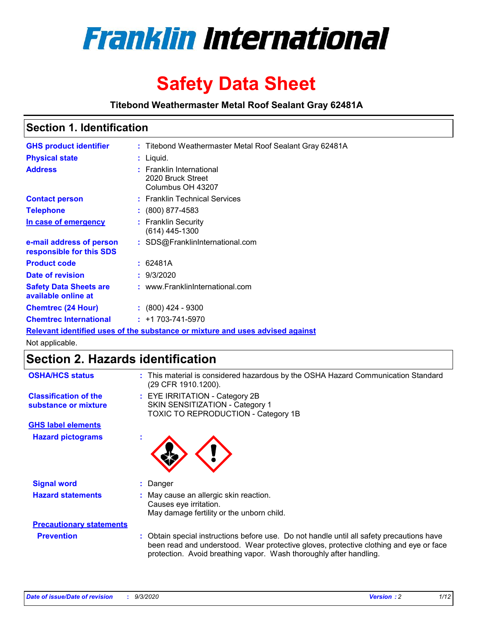

# **Safety Data Sheet**

**Titebond Weathermaster Metal Roof Sealant Gray 62481A**

### **Section 1. Identification**

| <b>GHS product identifier</b>                                                 |  | : Titebond Weathermaster Metal Roof Sealant Gray 62481A            |  |
|-------------------------------------------------------------------------------|--|--------------------------------------------------------------------|--|
| <b>Physical state</b>                                                         |  | : Liquid.                                                          |  |
| <b>Address</b>                                                                |  | : Franklin International<br>2020 Bruck Street<br>Columbus OH 43207 |  |
| <b>Contact person</b>                                                         |  | : Franklin Technical Services                                      |  |
| <b>Telephone</b>                                                              |  | $\colon$ (800) 877-4583                                            |  |
| In case of emergency                                                          |  | : Franklin Security<br>(614) 445-1300                              |  |
| e-mail address of person<br>responsible for this SDS                          |  | : SDS@FranklinInternational.com                                    |  |
| <b>Product code</b>                                                           |  | : 62481A                                                           |  |
| Date of revision                                                              |  | : 9/3/2020                                                         |  |
| <b>Safety Data Sheets are</b><br>available online at                          |  | : www.FranklinInternational.com                                    |  |
| <b>Chemtrec (24 Hour)</b>                                                     |  | $: (800)$ 424 - 9300                                               |  |
| <b>Chemtrec International</b>                                                 |  | $: +1703 - 741 - 5970$                                             |  |
| Relevant identified uses of the substance or mixture and uses advised against |  |                                                                    |  |

Not applicable.

### **Section 2. Hazards identification**

| <b>OSHA/HCS status</b>                               |    | : This material is considered hazardous by the OSHA Hazard Communication Standard<br>(29 CFR 1910.1200).                                                                                                                                                 |
|------------------------------------------------------|----|----------------------------------------------------------------------------------------------------------------------------------------------------------------------------------------------------------------------------------------------------------|
| <b>Classification of the</b><br>substance or mixture |    | : EYE IRRITATION - Category 2B<br>SKIN SENSITIZATION - Category 1<br>TOXIC TO REPRODUCTION - Category 1B                                                                                                                                                 |
| <b>GHS label elements</b>                            |    |                                                                                                                                                                                                                                                          |
| <b>Hazard pictograms</b>                             | ×. |                                                                                                                                                                                                                                                          |
| <b>Signal word</b>                                   | ÷. | Danger                                                                                                                                                                                                                                                   |
| <b>Hazard statements</b>                             |    | May cause an allergic skin reaction.<br>Causes eye irritation.<br>May damage fertility or the unborn child.                                                                                                                                              |
| <b>Precautionary statements</b>                      |    |                                                                                                                                                                                                                                                          |
| <b>Prevention</b>                                    |    | : Obtain special instructions before use. Do not handle until all safety precautions have<br>been read and understood. Wear protective gloves, protective clothing and eye or face<br>protection. Avoid breathing vapor. Wash thoroughly after handling. |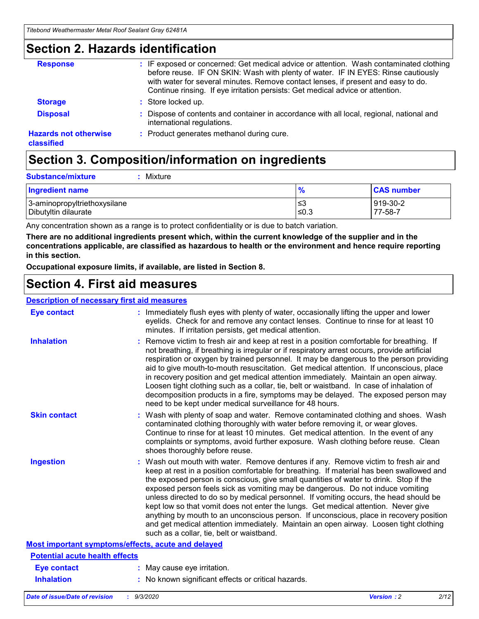### **Section 2. Hazards identification**

| <b>Response</b>                            | : IF exposed or concerned: Get medical advice or attention. Wash contaminated clothing<br>before reuse. IF ON SKIN: Wash with plenty of water. IF IN EYES: Rinse cautiously<br>with water for several minutes. Remove contact lenses, if present and easy to do.<br>Continue rinsing. If eye irritation persists: Get medical advice or attention. |
|--------------------------------------------|----------------------------------------------------------------------------------------------------------------------------------------------------------------------------------------------------------------------------------------------------------------------------------------------------------------------------------------------------|
| <b>Storage</b>                             | : Store locked up.                                                                                                                                                                                                                                                                                                                                 |
| <b>Disposal</b>                            | : Dispose of contents and container in accordance with all local, regional, national and<br>international regulations.                                                                                                                                                                                                                             |
| <b>Hazards not otherwise</b><br>classified | : Product generates methanol during cure.                                                                                                                                                                                                                                                                                                          |

# **Section 3. Composition/information on ingredients**

|  | : Mixture |
|--|-----------|

| <b>Ingredient name</b>       | 70     | <b>CAS number</b> |
|------------------------------|--------|-------------------|
| 3-aminopropyltriethoxysilane | צ≥     | 919-30-2          |
| Dibutyltin dilaurate         | $≤0.3$ | 77-58-7           |

Any concentration shown as a range is to protect confidentiality or is due to batch variation.

**There are no additional ingredients present which, within the current knowledge of the supplier and in the concentrations applicable, are classified as hazardous to health or the environment and hence require reporting in this section.**

**Occupational exposure limits, if available, are listed in Section 8.**

### **Section 4. First aid measures**

| <b>Description of necessary first aid measures</b> |                                                                                                                                                                                                                                                                                                                                                                                                                                                                                                                                                                                                                                                                                                                                                                           |
|----------------------------------------------------|---------------------------------------------------------------------------------------------------------------------------------------------------------------------------------------------------------------------------------------------------------------------------------------------------------------------------------------------------------------------------------------------------------------------------------------------------------------------------------------------------------------------------------------------------------------------------------------------------------------------------------------------------------------------------------------------------------------------------------------------------------------------------|
| <b>Eye contact</b>                                 | : Immediately flush eyes with plenty of water, occasionally lifting the upper and lower<br>eyelids. Check for and remove any contact lenses. Continue to rinse for at least 10<br>minutes. If irritation persists, get medical attention.                                                                                                                                                                                                                                                                                                                                                                                                                                                                                                                                 |
| <b>Inhalation</b>                                  | : Remove victim to fresh air and keep at rest in a position comfortable for breathing. If<br>not breathing, if breathing is irregular or if respiratory arrest occurs, provide artificial<br>respiration or oxygen by trained personnel. It may be dangerous to the person providing<br>aid to give mouth-to-mouth resuscitation. Get medical attention. If unconscious, place<br>in recovery position and get medical attention immediately. Maintain an open airway.<br>Loosen tight clothing such as a collar, tie, belt or waistband. In case of inhalation of<br>decomposition products in a fire, symptoms may be delayed. The exposed person may<br>need to be kept under medical surveillance for 48 hours.                                                       |
| <b>Skin contact</b>                                | : Wash with plenty of soap and water. Remove contaminated clothing and shoes. Wash<br>contaminated clothing thoroughly with water before removing it, or wear gloves.<br>Continue to rinse for at least 10 minutes. Get medical attention. In the event of any<br>complaints or symptoms, avoid further exposure. Wash clothing before reuse. Clean<br>shoes thoroughly before reuse.                                                                                                                                                                                                                                                                                                                                                                                     |
| <b>Ingestion</b>                                   | : Wash out mouth with water. Remove dentures if any. Remove victim to fresh air and<br>keep at rest in a position comfortable for breathing. If material has been swallowed and<br>the exposed person is conscious, give small quantities of water to drink. Stop if the<br>exposed person feels sick as vomiting may be dangerous. Do not induce vomiting<br>unless directed to do so by medical personnel. If vomiting occurs, the head should be<br>kept low so that vomit does not enter the lungs. Get medical attention. Never give<br>anything by mouth to an unconscious person. If unconscious, place in recovery position<br>and get medical attention immediately. Maintain an open airway. Loosen tight clothing<br>such as a collar, tie, belt or waistband. |
| Most important symptoms/effects, acute and delayed |                                                                                                                                                                                                                                                                                                                                                                                                                                                                                                                                                                                                                                                                                                                                                                           |
| <b>Potential acute health effects</b>              |                                                                                                                                                                                                                                                                                                                                                                                                                                                                                                                                                                                                                                                                                                                                                                           |
| <b>Eye contact</b>                                 | : May cause eye irritation.                                                                                                                                                                                                                                                                                                                                                                                                                                                                                                                                                                                                                                                                                                                                               |
| <b>Inhalation</b>                                  | : No known significant effects or critical hazards.                                                                                                                                                                                                                                                                                                                                                                                                                                                                                                                                                                                                                                                                                                                       |
|                                                    |                                                                                                                                                                                                                                                                                                                                                                                                                                                                                                                                                                                                                                                                                                                                                                           |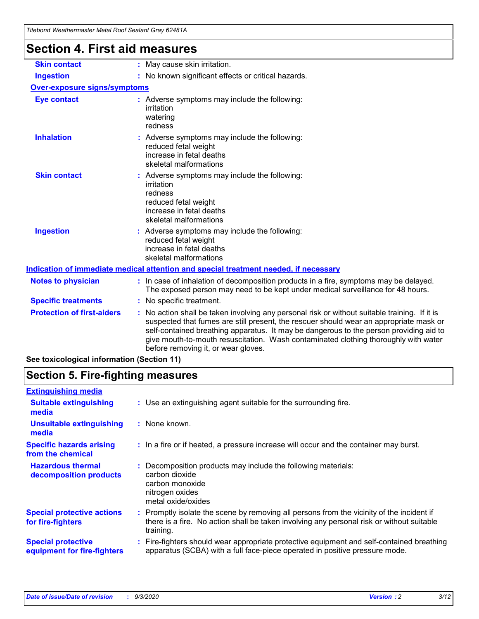| Titebond Weathermaster Metal Roof Sealant Gray 62481A |                                                                                                                                                                                                                                                                                                                                                                                                               |  |  |  |
|-------------------------------------------------------|---------------------------------------------------------------------------------------------------------------------------------------------------------------------------------------------------------------------------------------------------------------------------------------------------------------------------------------------------------------------------------------------------------------|--|--|--|
| <b>Section 4. First aid measures</b>                  |                                                                                                                                                                                                                                                                                                                                                                                                               |  |  |  |
| <b>Skin contact</b>                                   | : May cause skin irritation.                                                                                                                                                                                                                                                                                                                                                                                  |  |  |  |
| <b>Ingestion</b>                                      | : No known significant effects or critical hazards.                                                                                                                                                                                                                                                                                                                                                           |  |  |  |
| <b>Over-exposure signs/symptoms</b>                   |                                                                                                                                                                                                                                                                                                                                                                                                               |  |  |  |
| <b>Eye contact</b>                                    | : Adverse symptoms may include the following:<br>irritation<br>watering<br>redness                                                                                                                                                                                                                                                                                                                            |  |  |  |
| <b>Inhalation</b>                                     | : Adverse symptoms may include the following:<br>reduced fetal weight<br>increase in fetal deaths<br>skeletal malformations                                                                                                                                                                                                                                                                                   |  |  |  |
| <b>Skin contact</b>                                   | : Adverse symptoms may include the following:<br>irritation<br>redness<br>reduced fetal weight<br>increase in fetal deaths<br>skeletal malformations                                                                                                                                                                                                                                                          |  |  |  |
| <b>Ingestion</b>                                      | Adverse symptoms may include the following:<br>reduced fetal weight<br>increase in fetal deaths<br>skeletal malformations                                                                                                                                                                                                                                                                                     |  |  |  |
|                                                       | Indication of immediate medical attention and special treatment needed, if necessary                                                                                                                                                                                                                                                                                                                          |  |  |  |
| <b>Notes to physician</b>                             | : In case of inhalation of decomposition products in a fire, symptoms may be delayed.<br>The exposed person may need to be kept under medical surveillance for 48 hours.                                                                                                                                                                                                                                      |  |  |  |
| <b>Specific treatments</b>                            | No specific treatment.                                                                                                                                                                                                                                                                                                                                                                                        |  |  |  |
| <b>Protection of first-aiders</b>                     | No action shall be taken involving any personal risk or without suitable training. If it is<br>suspected that fumes are still present, the rescuer should wear an appropriate mask or<br>self-contained breathing apparatus. It may be dangerous to the person providing aid to<br>give mouth-to-mouth resuscitation. Wash contaminated clothing thoroughly with water<br>before removing it, or wear gloves. |  |  |  |

**See toxicological information (Section 11)**

### **Section 5. Fire-fighting measures**

| <b>Extinguishing media</b>                               |                                                                                                                                                                                                   |
|----------------------------------------------------------|---------------------------------------------------------------------------------------------------------------------------------------------------------------------------------------------------|
| <b>Suitable extinguishing</b><br>media                   | : Use an extinguishing agent suitable for the surrounding fire.                                                                                                                                   |
| <b>Unsuitable extinguishing</b><br>media                 | : None known.                                                                                                                                                                                     |
| <b>Specific hazards arising</b><br>from the chemical     | : In a fire or if heated, a pressure increase will occur and the container may burst.                                                                                                             |
| <b>Hazardous thermal</b><br>decomposition products       | Decomposition products may include the following materials:<br>carbon dioxide<br>carbon monoxide<br>nitrogen oxides<br>metal oxide/oxides                                                         |
| <b>Special protective actions</b><br>for fire-fighters   | Promptly isolate the scene by removing all persons from the vicinity of the incident if<br>there is a fire. No action shall be taken involving any personal risk or without suitable<br>training. |
| <b>Special protective</b><br>equipment for fire-fighters | Fire-fighters should wear appropriate protective equipment and self-contained breathing<br>apparatus (SCBA) with a full face-piece operated in positive pressure mode.                            |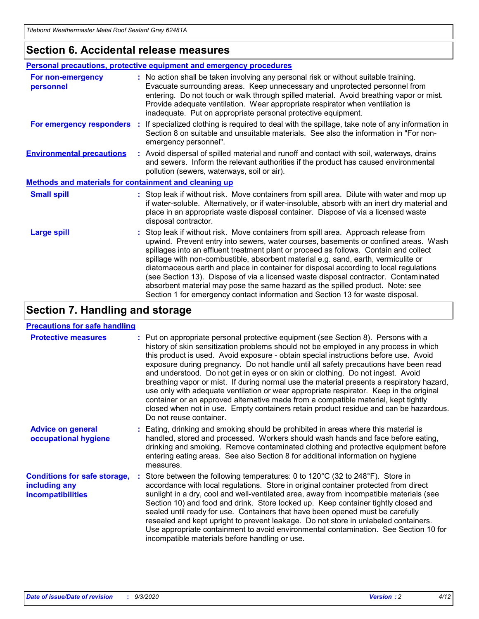### **Section 6. Accidental release measures**

|                                                              | Personal precautions, protective equipment and emergency procedures                                                                                                                                                                                                                                                                                                                                                                                                                                                                                                                                                                                                                                          |  |  |  |
|--------------------------------------------------------------|--------------------------------------------------------------------------------------------------------------------------------------------------------------------------------------------------------------------------------------------------------------------------------------------------------------------------------------------------------------------------------------------------------------------------------------------------------------------------------------------------------------------------------------------------------------------------------------------------------------------------------------------------------------------------------------------------------------|--|--|--|
| For non-emergency<br>personnel                               | : No action shall be taken involving any personal risk or without suitable training.<br>Evacuate surrounding areas. Keep unnecessary and unprotected personnel from<br>entering. Do not touch or walk through spilled material. Avoid breathing vapor or mist.<br>Provide adequate ventilation. Wear appropriate respirator when ventilation is<br>inadequate. Put on appropriate personal protective equipment.                                                                                                                                                                                                                                                                                             |  |  |  |
| For emergency responders                                     | : If specialized clothing is required to deal with the spillage, take note of any information in<br>Section 8 on suitable and unsuitable materials. See also the information in "For non-<br>emergency personnel".                                                                                                                                                                                                                                                                                                                                                                                                                                                                                           |  |  |  |
| <b>Environmental precautions</b>                             | : Avoid dispersal of spilled material and runoff and contact with soil, waterways, drains<br>and sewers. Inform the relevant authorities if the product has caused environmental<br>pollution (sewers, waterways, soil or air).                                                                                                                                                                                                                                                                                                                                                                                                                                                                              |  |  |  |
| <b>Methods and materials for containment and cleaning up</b> |                                                                                                                                                                                                                                                                                                                                                                                                                                                                                                                                                                                                                                                                                                              |  |  |  |
| <b>Small spill</b>                                           | : Stop leak if without risk. Move containers from spill area. Dilute with water and mop up<br>if water-soluble. Alternatively, or if water-insoluble, absorb with an inert dry material and<br>place in an appropriate waste disposal container. Dispose of via a licensed waste<br>disposal contractor.                                                                                                                                                                                                                                                                                                                                                                                                     |  |  |  |
| <b>Large spill</b>                                           | : Stop leak if without risk. Move containers from spill area. Approach release from<br>upwind. Prevent entry into sewers, water courses, basements or confined areas. Wash<br>spillages into an effluent treatment plant or proceed as follows. Contain and collect<br>spillage with non-combustible, absorbent material e.g. sand, earth, vermiculite or<br>diatomaceous earth and place in container for disposal according to local regulations<br>(see Section 13). Dispose of via a licensed waste disposal contractor. Contaminated<br>absorbent material may pose the same hazard as the spilled product. Note: see<br>Section 1 for emergency contact information and Section 13 for waste disposal. |  |  |  |

### **Section 7. Handling and storage**

#### **Precautions for safe handling**

| <b>Protective measures</b>                                                       | : Put on appropriate personal protective equipment (see Section 8). Persons with a<br>history of skin sensitization problems should not be employed in any process in which<br>this product is used. Avoid exposure - obtain special instructions before use. Avoid<br>exposure during pregnancy. Do not handle until all safety precautions have been read<br>and understood. Do not get in eyes or on skin or clothing. Do not ingest. Avoid<br>breathing vapor or mist. If during normal use the material presents a respiratory hazard,<br>use only with adequate ventilation or wear appropriate respirator. Keep in the original<br>container or an approved alternative made from a compatible material, kept tightly<br>closed when not in use. Empty containers retain product residue and can be hazardous.<br>Do not reuse container. |
|----------------------------------------------------------------------------------|--------------------------------------------------------------------------------------------------------------------------------------------------------------------------------------------------------------------------------------------------------------------------------------------------------------------------------------------------------------------------------------------------------------------------------------------------------------------------------------------------------------------------------------------------------------------------------------------------------------------------------------------------------------------------------------------------------------------------------------------------------------------------------------------------------------------------------------------------|
| <b>Advice on general</b><br>occupational hygiene                                 | : Eating, drinking and smoking should be prohibited in areas where this material is<br>handled, stored and processed. Workers should wash hands and face before eating,<br>drinking and smoking. Remove contaminated clothing and protective equipment before<br>entering eating areas. See also Section 8 for additional information on hygiene<br>measures.                                                                                                                                                                                                                                                                                                                                                                                                                                                                                    |
| <b>Conditions for safe storage,</b><br>including any<br><i>incompatibilities</i> | Store between the following temperatures: 0 to 120°C (32 to 248°F). Store in<br>accordance with local regulations. Store in original container protected from direct<br>sunlight in a dry, cool and well-ventilated area, away from incompatible materials (see<br>Section 10) and food and drink. Store locked up. Keep container tightly closed and<br>sealed until ready for use. Containers that have been opened must be carefully<br>resealed and kept upright to prevent leakage. Do not store in unlabeled containers.<br>Use appropriate containment to avoid environmental contamination. See Section 10 for<br>incompatible materials before handling or use.                                                                                                                                                                         |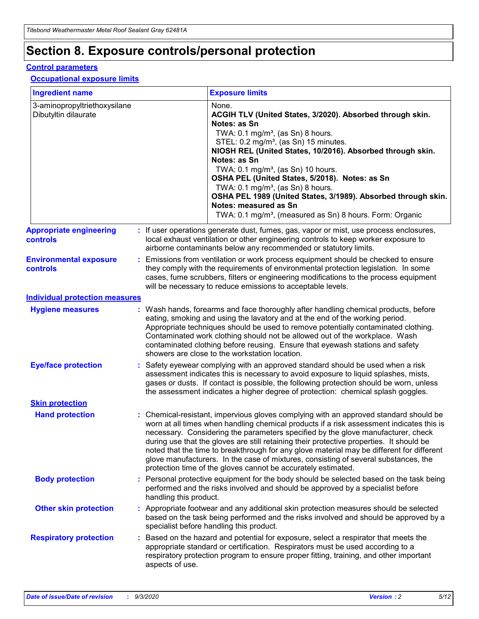# **Section 8. Exposure controls/personal protection**

#### **Control parameters**

#### **Occupational exposure limits**

| <b>Ingredient name</b>                               |    |                        | <b>Exposure limits</b>                                                                                                                                                                                                                                                                                                                                                                                                                                                                                                                                                                                                 |
|------------------------------------------------------|----|------------------------|------------------------------------------------------------------------------------------------------------------------------------------------------------------------------------------------------------------------------------------------------------------------------------------------------------------------------------------------------------------------------------------------------------------------------------------------------------------------------------------------------------------------------------------------------------------------------------------------------------------------|
| 3-aminopropyltriethoxysilane<br>Dibutyltin dilaurate |    |                        | None.<br>ACGIH TLV (United States, 3/2020). Absorbed through skin.<br>Notes: as Sn<br>TWA: $0.1 \text{ mg/m}^3$ , (as Sn) 8 hours.<br>STEL: 0.2 mg/m <sup>3</sup> , (as Sn) 15 minutes.<br>NIOSH REL (United States, 10/2016). Absorbed through skin.<br>Notes: as Sn<br>TWA: 0.1 mg/m <sup>3</sup> , (as Sn) 10 hours.<br>OSHA PEL (United States, 5/2018). Notes: as Sn<br>TWA: 0.1 mg/m <sup>3</sup> , (as Sn) 8 hours.<br>OSHA PEL 1989 (United States, 3/1989). Absorbed through skin.<br>Notes: measured as Sn<br>TWA: 0.1 mg/m <sup>3</sup> , (measured as Sn) 8 hours. Form: Organic                           |
| <b>Appropriate engineering</b><br>controls           |    |                        | : If user operations generate dust, fumes, gas, vapor or mist, use process enclosures,<br>local exhaust ventilation or other engineering controls to keep worker exposure to<br>airborne contaminants below any recommended or statutory limits.                                                                                                                                                                                                                                                                                                                                                                       |
| <b>Environmental exposure</b><br>controls            |    |                        | Emissions from ventilation or work process equipment should be checked to ensure<br>they comply with the requirements of environmental protection legislation. In some<br>cases, fume scrubbers, filters or engineering modifications to the process equipment<br>will be necessary to reduce emissions to acceptable levels.                                                                                                                                                                                                                                                                                          |
| <b>Individual protection measures</b>                |    |                        |                                                                                                                                                                                                                                                                                                                                                                                                                                                                                                                                                                                                                        |
| <b>Hygiene measures</b>                              |    |                        | : Wash hands, forearms and face thoroughly after handling chemical products, before<br>eating, smoking and using the lavatory and at the end of the working period.<br>Appropriate techniques should be used to remove potentially contaminated clothing.<br>Contaminated work clothing should not be allowed out of the workplace. Wash<br>contaminated clothing before reusing. Ensure that eyewash stations and safety<br>showers are close to the workstation location.                                                                                                                                            |
| <b>Eye/face protection</b>                           |    |                        | Safety eyewear complying with an approved standard should be used when a risk<br>assessment indicates this is necessary to avoid exposure to liquid splashes, mists,<br>gases or dusts. If contact is possible, the following protection should be worn, unless<br>the assessment indicates a higher degree of protection: chemical splash goggles.                                                                                                                                                                                                                                                                    |
| <b>Skin protection</b>                               |    |                        |                                                                                                                                                                                                                                                                                                                                                                                                                                                                                                                                                                                                                        |
| <b>Hand protection</b>                               |    |                        | : Chemical-resistant, impervious gloves complying with an approved standard should be<br>worn at all times when handling chemical products if a risk assessment indicates this is<br>necessary. Considering the parameters specified by the glove manufacturer, check<br>during use that the gloves are still retaining their protective properties. It should be<br>noted that the time to breakthrough for any glove material may be different for different<br>glove manufacturers. In the case of mixtures, consisting of several substances, the<br>protection time of the gloves cannot be accurately estimated. |
| <b>Body protection</b>                               |    | handling this product. | Personal protective equipment for the body should be selected based on the task being<br>performed and the risks involved and should be approved by a specialist before                                                                                                                                                                                                                                                                                                                                                                                                                                                |
| <b>Other skin protection</b>                         |    |                        | : Appropriate footwear and any additional skin protection measures should be selected<br>based on the task being performed and the risks involved and should be approved by a<br>specialist before handling this product.                                                                                                                                                                                                                                                                                                                                                                                              |
| <b>Respiratory protection</b>                        | ÷. | aspects of use.        | Based on the hazard and potential for exposure, select a respirator that meets the<br>appropriate standard or certification. Respirators must be used according to a<br>respiratory protection program to ensure proper fitting, training, and other important                                                                                                                                                                                                                                                                                                                                                         |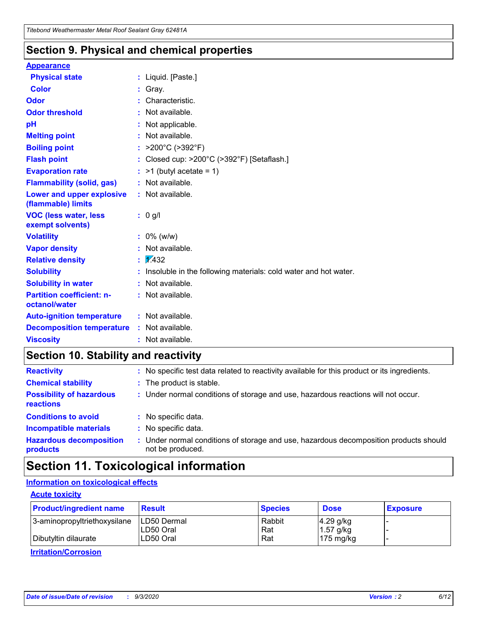### **Section 9. Physical and chemical properties**

#### **Appearance**

| <b>Physical state</b>                                  |   | : Liquid. [Paste.]                                              |
|--------------------------------------------------------|---|-----------------------------------------------------------------|
| <b>Color</b>                                           |   | Gray.                                                           |
| Odor                                                   |   | Characteristic.                                                 |
| <b>Odor threshold</b>                                  | ÷ | Not available.                                                  |
| рH                                                     |   | Not applicable.                                                 |
| <b>Melting point</b>                                   |   | : Not available.                                                |
| <b>Boiling point</b>                                   |   | : $>200^{\circ}$ C ( $>392^{\circ}$ F)                          |
| <b>Flash point</b>                                     |   | Closed cup: >200°C (>392°F) [Setaflash.]                        |
| <b>Evaporation rate</b>                                |   | $:$ >1 (butyl acetate = 1)                                      |
| <b>Flammability (solid, gas)</b>                       |   | : Not available.                                                |
| <b>Lower and upper explosive</b><br>(flammable) limits |   | : Not available.                                                |
| <b>VOC (less water, less)</b><br>exempt solvents)      |   | : 0 g/l                                                         |
| <b>Volatility</b>                                      |   | $: 0\%$ (w/w)                                                   |
| <b>Vapor density</b>                                   |   | Not available.                                                  |
| <b>Relative density</b>                                |   | $\mathbf{1}$ $\mathbf{\sqrt{432}}$                              |
| <b>Solubility</b>                                      |   | Insoluble in the following materials: cold water and hot water. |
| <b>Solubility in water</b>                             |   | Not available.                                                  |
| <b>Partition coefficient: n-</b><br>octanol/water      |   | : Not available.                                                |
| <b>Auto-ignition temperature</b>                       |   | : Not available.                                                |
| <b>Decomposition temperature</b>                       |   | : Not available.                                                |
| <b>Viscosity</b>                                       |   | $:$ Not available.                                              |

### **Section 10. Stability and reactivity**

| <b>Reactivity</b>                            |    | : No specific test data related to reactivity available for this product or its ingredients.            |
|----------------------------------------------|----|---------------------------------------------------------------------------------------------------------|
| <b>Chemical stability</b>                    |    | : The product is stable.                                                                                |
| <b>Possibility of hazardous</b><br>reactions |    | : Under normal conditions of storage and use, hazardous reactions will not occur.                       |
| <b>Conditions to avoid</b>                   |    | : No specific data.                                                                                     |
| <b>Incompatible materials</b>                | ٠. | No specific data.                                                                                       |
| <b>Hazardous decomposition</b><br>products   | ÷. | Under normal conditions of storage and use, hazardous decomposition products should<br>not be produced. |

### **Section 11. Toxicological information**

#### **Information on toxicological effects**

#### **Acute toxicity**

| <b>Product/ingredient name</b> | <b>Result</b>           | <b>Species</b> | <b>Dose</b>                | <b>Exposure</b> |
|--------------------------------|-------------------------|----------------|----------------------------|-----------------|
| 3-aminopropyltriethoxysilane   | <b>ILD50 Dermal</b>     | Rabbit         | 4.29 g/kg                  |                 |
| Dibutyltin dilaurate           | ILD50 Oral<br>LD50 Oral | Rat<br>Rat     | $1.57$ g/kg<br>175 $mg/kg$ |                 |
|                                |                         |                |                            |                 |

**Irritation/Corrosion**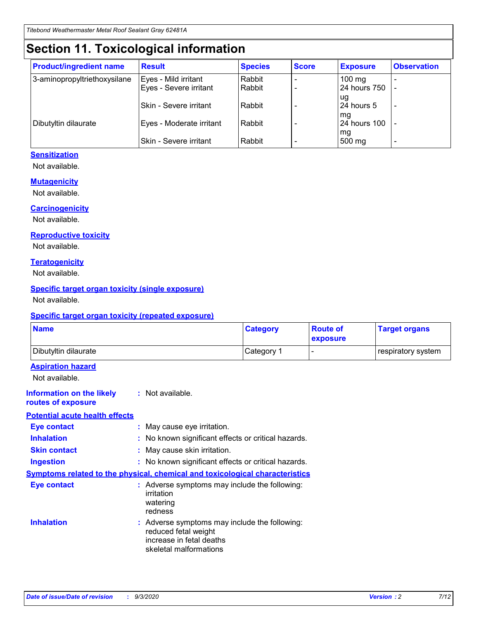# **Section 11. Toxicological information**

| <b>Product/ingredient name</b> | <b>Result</b>            | <b>Species</b> | <b>Score</b> | <b>Exposure</b>    | <b>Observation</b> |
|--------------------------------|--------------------------|----------------|--------------|--------------------|--------------------|
| 3-aminopropyltriethoxysilane   | Eyes - Mild irritant     | Rabbit         |              | $100 \text{ mg}$   |                    |
|                                | Eyes - Severe irritant   | Rabbit         |              | 24 hours 750       |                    |
|                                |                          |                |              | ug                 |                    |
|                                | Skin - Severe irritant   | Rabbit         |              | 24 hours 5         | -                  |
| Dibutyltin dilaurate           | Eyes - Moderate irritant | Rabbit         |              | mg<br>24 hours 100 |                    |
|                                |                          |                |              | mg                 |                    |
|                                | Skin - Severe irritant   | Rabbit         |              | 500 mg             | -                  |

#### **Sensitization**

Not available.

#### **Mutagenicity**

Not available.

#### **Carcinogenicity**

Not available.

#### **Reproductive toxicity**

Not available.

#### **Teratogenicity**

Not available.

#### **Specific target organ toxicity (single exposure)**

Not available.

#### **Specific target organ toxicity (repeated exposure)**

| <b>Name</b>                                                                  |                                                                                                                             | <b>Category</b>                                     | <b>Route of</b><br>exposure | <b>Target organs</b> |  |  |
|------------------------------------------------------------------------------|-----------------------------------------------------------------------------------------------------------------------------|-----------------------------------------------------|-----------------------------|----------------------|--|--|
| Dibutyltin dilaurate                                                         |                                                                                                                             | Category 1                                          | $\overline{\phantom{0}}$    | respiratory system   |  |  |
| <b>Aspiration hazard</b><br>Not available.                                   |                                                                                                                             |                                                     |                             |                      |  |  |
| <b>Information on the likely</b><br>routes of exposure                       | : Not available.                                                                                                            |                                                     |                             |                      |  |  |
| <b>Potential acute health effects</b>                                        |                                                                                                                             |                                                     |                             |                      |  |  |
| <b>Eye contact</b>                                                           |                                                                                                                             | : May cause eye irritation.                         |                             |                      |  |  |
| <b>Inhalation</b>                                                            |                                                                                                                             | : No known significant effects or critical hazards. |                             |                      |  |  |
| <b>Skin contact</b>                                                          |                                                                                                                             | : May cause skin irritation.                        |                             |                      |  |  |
| <b>Ingestion</b>                                                             |                                                                                                                             | : No known significant effects or critical hazards. |                             |                      |  |  |
| Symptoms related to the physical, chemical and toxicological characteristics |                                                                                                                             |                                                     |                             |                      |  |  |
| <b>Eye contact</b>                                                           | : Adverse symptoms may include the following:<br>irritation<br>watering<br>redness                                          |                                                     |                             |                      |  |  |
| <b>Inhalation</b>                                                            | : Adverse symptoms may include the following:<br>reduced fetal weight<br>increase in fetal deaths<br>skeletal malformations |                                                     |                             |                      |  |  |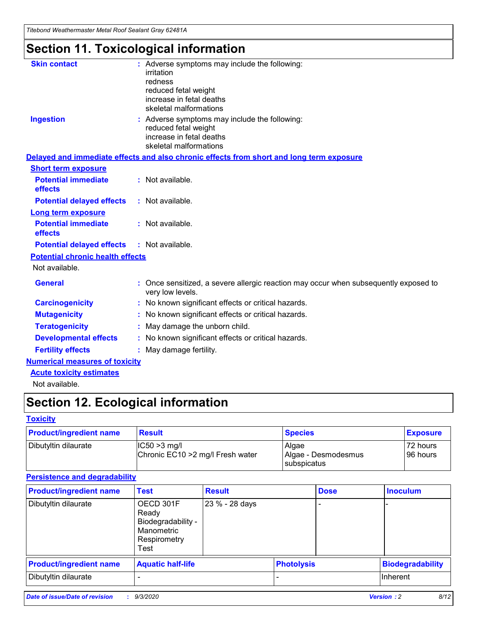*Titebond Weathermaster Metal Roof Sealant Gray 62481A*

# **Section 11. Toxicological information**

| <b>Skin contact</b>                     | irritation<br>redness<br>reduced fetal weight<br>increase in fetal deaths<br>skeletal malformations | : Adverse symptoms may include the following:                                            |
|-----------------------------------------|-----------------------------------------------------------------------------------------------------|------------------------------------------------------------------------------------------|
| <b>Ingestion</b>                        | reduced fetal weight<br>increase in fetal deaths<br>skeletal malformations                          | : Adverse symptoms may include the following:                                            |
|                                         |                                                                                                     | Delayed and immediate effects and also chronic effects from short and long term exposure |
| <b>Short term exposure</b>              |                                                                                                     |                                                                                          |
| <b>Potential immediate</b><br>effects   | : Not available.                                                                                    |                                                                                          |
| <b>Potential delayed effects</b>        | : Not available.                                                                                    |                                                                                          |
| <b>Long term exposure</b>               |                                                                                                     |                                                                                          |
| <b>Potential immediate</b><br>effects   | : Not available.                                                                                    |                                                                                          |
| <b>Potential delayed effects</b>        | : Not available.                                                                                    |                                                                                          |
| <b>Potential chronic health effects</b> |                                                                                                     |                                                                                          |
| Not available.                          |                                                                                                     |                                                                                          |
| <b>General</b>                          | very low levels.                                                                                    | : Once sensitized, a severe allergic reaction may occur when subsequently exposed to     |
| <b>Carcinogenicity</b>                  |                                                                                                     | : No known significant effects or critical hazards.                                      |
| <b>Mutagenicity</b>                     |                                                                                                     | No known significant effects or critical hazards.                                        |
| <b>Teratogenicity</b>                   |                                                                                                     | May damage the unborn child.                                                             |
| <b>Developmental effects</b>            |                                                                                                     | : No known significant effects or critical hazards.                                      |
| <b>Fertility effects</b>                | May damage fertility.                                                                               |                                                                                          |
| <b>Numerical measures of toxicity</b>   |                                                                                                     |                                                                                          |
| <b>Acute toxicity estimates</b>         |                                                                                                     |                                                                                          |
| Not available.                          |                                                                                                     |                                                                                          |

# **Section 12. Ecological information**

#### **Toxicity**

| <b>Product/ingredient name</b> | <b>Result</b>                                       | <b>Species</b>               | <b>Exposure</b>       |
|--------------------------------|-----------------------------------------------------|------------------------------|-----------------------|
| Dibutyltin dilaurate           | $ IC50>3$ mg/l<br>Chronic EC10 > 2 mg/l Fresh water | Algae<br>Algae - Desmodesmus | 72 hours<br>196 hours |
|                                |                                                     | subspicatus                  |                       |

#### **Persistence and degradability**

| <b>Product/ingredient name</b> | <b>Test</b>                                                                    | <b>Result</b>  |                   | <b>Dose</b> | <b>Inoculum</b>         |
|--------------------------------|--------------------------------------------------------------------------------|----------------|-------------------|-------------|-------------------------|
| Dibutyltin dilaurate           | OECD 301F<br>Ready<br>Biodegradability -<br>Manometric<br>Respirometry<br>Test | 23 % - 28 days |                   |             |                         |
| <b>Product/ingredient name</b> | <b>Aquatic half-life</b>                                                       |                | <b>Photolysis</b> |             | <b>Biodegradability</b> |
| Dibutyltin dilaurate           |                                                                                |                |                   |             | <b>Inherent</b>         |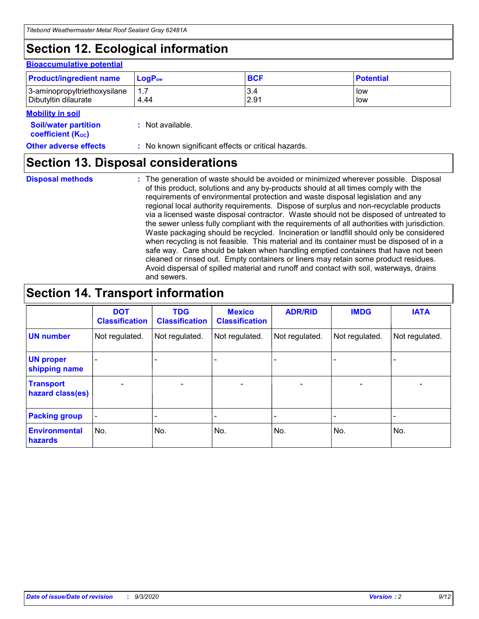# **Section 12. Ecological information**

#### **Bioaccumulative potential**

| <b>Product/ingredient name</b> | <b>LogP</b> <sub>ow</sub> | <b>BCF</b> | <b>Potential</b> |
|--------------------------------|---------------------------|------------|------------------|
| 3-aminopropyltriethoxysilane   | 4.44                      | 3.4        | low              |
| Dibutyltin dilaurate           |                           | 2.91       | low              |

#### **Mobility in soil**

| <b>Soil/water partition</b>           | $:$ Not available. |
|---------------------------------------|--------------------|
| <b>coefficient</b> (K <sub>oc</sub> ) |                    |

**Other adverse effects** : No known significant effects or critical hazards.

### **Section 13. Disposal considerations**

**Disposal methods :**

The generation of waste should be avoided or minimized wherever possible. Disposal of this product, solutions and any by-products should at all times comply with the requirements of environmental protection and waste disposal legislation and any regional local authority requirements. Dispose of surplus and non-recyclable products via a licensed waste disposal contractor. Waste should not be disposed of untreated to the sewer unless fully compliant with the requirements of all authorities with jurisdiction. Waste packaging should be recycled. Incineration or landfill should only be considered when recycling is not feasible. This material and its container must be disposed of in a safe way. Care should be taken when handling emptied containers that have not been cleaned or rinsed out. Empty containers or liners may retain some product residues. Avoid dispersal of spilled material and runoff and contact with soil, waterways, drains and sewers.

### **Section 14. Transport information**

|                                      | <b>DOT</b><br><b>Classification</b> | <b>TDG</b><br><b>Classification</b> | <b>Mexico</b><br><b>Classification</b> | <b>ADR/RID</b>               | <b>IMDG</b>              | <b>IATA</b>    |
|--------------------------------------|-------------------------------------|-------------------------------------|----------------------------------------|------------------------------|--------------------------|----------------|
| <b>UN number</b>                     | Not regulated.                      | Not regulated.                      | Not regulated.                         | Not regulated.               | Not regulated.           | Not regulated. |
| <b>UN proper</b><br>shipping name    |                                     |                                     |                                        |                              |                          |                |
| <b>Transport</b><br>hazard class(es) | $\overline{\phantom{m}}$            | $\overline{\phantom{0}}$            | $\qquad \qquad$                        | $\qquad \qquad \blacksquare$ | $\overline{\phantom{0}}$ |                |
| <b>Packing group</b>                 | -                                   |                                     |                                        |                              |                          |                |
| <b>Environmental</b><br>hazards      | No.                                 | No.                                 | No.                                    | No.                          | No.                      | No.            |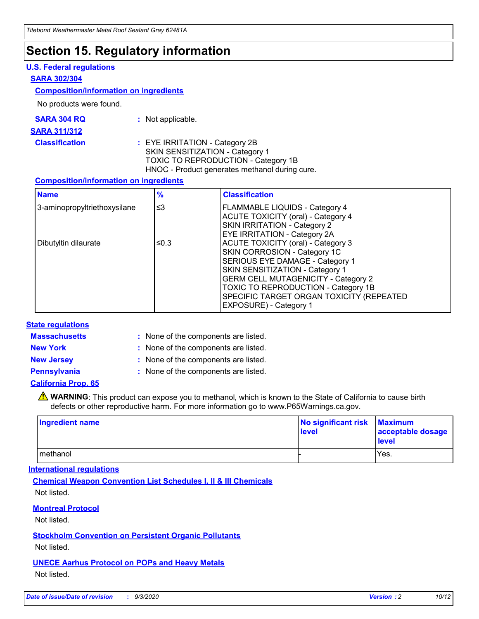### **Section 15. Regulatory information**

#### **U.S. Federal regulations**

#### **SARA 302/304**

#### **Composition/information on ingredients**

No products were found.

| SARA 304 RQ | Not applicable. |
|-------------|-----------------|
|-------------|-----------------|

#### **SARA 311/312**

#### **Classification :** EYE IRRITATION - Category 2B SKIN SENSITIZATION - Category 1 TOXIC TO REPRODUCTION - Category 1B HNOC - Product generates methanol during cure.

#### **Composition/information on ingredients**

| <b>Name</b>                  | $\frac{9}{6}$ | <b>Classification</b>                                                                                                                                                                                                                                                                                      |
|------------------------------|---------------|------------------------------------------------------------------------------------------------------------------------------------------------------------------------------------------------------------------------------------------------------------------------------------------------------------|
| 3-aminopropyltriethoxysilane | $\leq$ 3      | <b>FLAMMABLE LIQUIDS - Category 4</b><br><b>ACUTE TOXICITY (oral) - Category 4</b><br><b>SKIN IRRITATION - Category 2</b><br>EYE IRRITATION - Category 2A                                                                                                                                                  |
| Dibutyltin dilaurate         | ≤0.3          | <b>ACUTE TOXICITY (oral) - Category 3</b><br>SKIN CORROSION - Category 1C<br>SERIOUS EYE DAMAGE - Category 1<br>SKIN SENSITIZATION - Category 1<br><b>GERM CELL MUTAGENICITY - Category 2</b><br>TOXIC TO REPRODUCTION - Category 1B<br>SPECIFIC TARGET ORGAN TOXICITY (REPEATED<br>EXPOSURE) - Category 1 |

#### **State regulations**

**Massachusetts :**

: None of the components are listed.

**New York :** None of the components are listed. **New Jersey :** None of the components are listed.

**Pennsylvania :** None of the components are listed.

#### **California Prop. 65**

WARNING: This product can expose you to methanol, which is known to the State of California to cause birth defects or other reproductive harm. For more information go to www.P65Warnings.ca.gov.

| Ingredient name | No significant risk Maximum<br>level | acceptable dosage<br><b>level</b> |
|-----------------|--------------------------------------|-----------------------------------|
| I methanol      |                                      | Yes.                              |

#### **International regulations**

**Chemical Weapon Convention List Schedules I, II & III Chemicals** Not listed.

#### **Montreal Protocol**

Not listed.

**Stockholm Convention on Persistent Organic Pollutants**

Not listed.

#### **UNECE Aarhus Protocol on POPs and Heavy Metals** Not listed.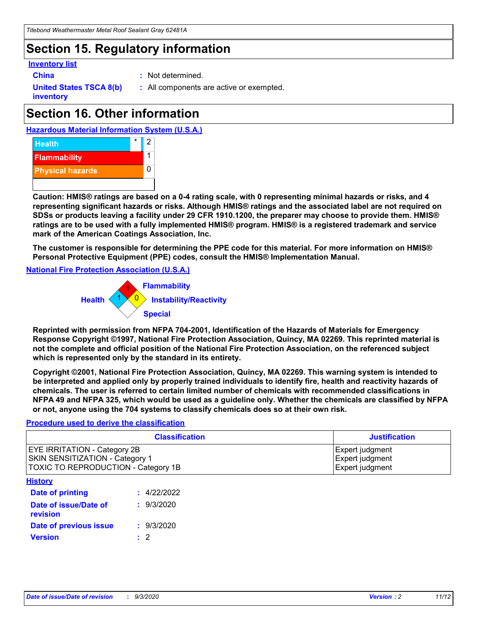### **Section 15. Regulatory information**

#### **Inventory list**

- 
- **China :** Not determined.

**United States TSCA 8(b) inventory**

**:** All components are active or exempted.

## **Section 16. Other information**





**Caution: HMIS® ratings are based on a 0-4 rating scale, with 0 representing minimal hazards or risks, and 4 representing significant hazards or risks. Although HMIS® ratings and the associated label are not required on SDSs or products leaving a facility under 29 CFR 1910.1200, the preparer may choose to provide them. HMIS® ratings are to be used with a fully implemented HMIS® program. HMIS® is a registered trademark and service mark of the American Coatings Association, Inc.**

**The customer is responsible for determining the PPE code for this material. For more information on HMIS® Personal Protective Equipment (PPE) codes, consult the HMIS® Implementation Manual.**

**National Fire Protection Association (U.S.A.)**



**Reprinted with permission from NFPA 704-2001, Identification of the Hazards of Materials for Emergency Response Copyright ©1997, National Fire Protection Association, Quincy, MA 02269. This reprinted material is not the complete and official position of the National Fire Protection Association, on the referenced subject which is represented only by the standard in its entirety.**

**Copyright ©2001, National Fire Protection Association, Quincy, MA 02269. This warning system is intended to be interpreted and applied only by properly trained individuals to identify fire, health and reactivity hazards of chemicals. The user is referred to certain limited number of chemicals with recommended classifications in NFPA 49 and NFPA 325, which would be used as a guideline only. Whether the chemicals are classified by NFPA or not, anyone using the 704 systems to classify chemicals does so at their own risk.**

#### **Procedure used to derive the classification**

| <b>Classification</b>                                                                                         | <b>Justification</b>                                  |
|---------------------------------------------------------------------------------------------------------------|-------------------------------------------------------|
| <b>EYE IRRITATION - Category 2B</b><br>SKIN SENSITIZATION - Category 1<br>TOXIC TO REPRODUCTION - Category 1B | Expert judgment<br>Expert judgment<br>Expert judgment |
| <b>History</b>                                                                                                |                                                       |

| .                                 |             |
|-----------------------------------|-------------|
| <b>Date of printing</b>           | : 4/22/2022 |
| Date of issue/Date of<br>revision | : 9/3/2020  |
| Date of previous issue            | : 9/3/2020  |
| <b>Version</b>                    | $\cdot$ 2   |
|                                   |             |